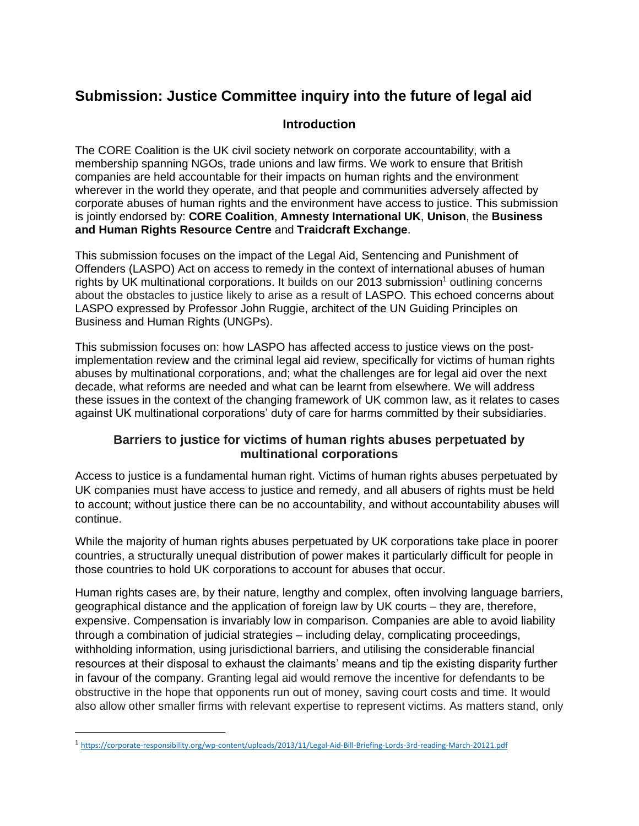# **Submission: Justice Committee inquiry into the future of legal aid**

#### **Introduction**

The CORE Coalition is the UK civil society network on corporate accountability, with a membership spanning NGOs, trade unions and law firms. We work to ensure that British companies are held accountable for their impacts on human rights and the environment wherever in the world they operate, and that people and communities adversely affected by corporate abuses of human rights and the environment have access to justice. This submission is jointly endorsed by: **CORE Coalition**, **Amnesty International UK**, **Unison**, the **Business and Human Rights Resource Centre** and **Traidcraft Exchange**.

This submission focuses on the impact of the Legal Aid, Sentencing and Punishment of Offenders (LASPO) Act on access to remedy in the context of international abuses of human rights by UK multinational corporations. It builds on our 2013 submission<sup>1</sup> outlining concerns about the obstacles to justice likely to arise as a result of LASPO. This echoed concerns about LASPO expressed by Professor John Ruggie, architect of the UN Guiding Principles on Business and Human Rights (UNGPs).

This submission focuses on: how LASPO has affected access to justice views on the postimplementation review and the criminal legal aid review, specifically for victims of human rights abuses by multinational corporations, and; what the challenges are for legal aid over the next decade, what reforms are needed and what can be learnt from elsewhere. We will address these issues in the context of the changing framework of UK common law, as it relates to cases against UK multinational corporations' duty of care for harms committed by their subsidiaries.

### **Barriers to justice for victims of human rights abuses perpetuated by multinational corporations**

Access to justice is a fundamental human right. Victims of human rights abuses perpetuated by UK companies must have access to justice and remedy, and all abusers of rights must be held to account; without justice there can be no accountability, and without accountability abuses will continue.

While the majority of human rights abuses perpetuated by UK corporations take place in poorer countries, a structurally unequal distribution of power makes it particularly difficult for people in those countries to hold UK corporations to account for abuses that occur.

Human rights cases are, by their nature, lengthy and complex, often involving language barriers, geographical distance and the application of foreign law by UK courts – they are, therefore, expensive. Compensation is invariably low in comparison. Companies are able to avoid liability through a combination of judicial strategies – including delay, complicating proceedings, withholding information, using jurisdictional barriers, and utilising the considerable financial resources at their disposal to exhaust the claimants' means and tip the existing disparity further in favour of the company. Granting legal aid would remove the incentive for defendants to be obstructive in the hope that opponents run out of money, saving court costs and time. It would also allow other smaller firms with relevant expertise to represent victims. As matters stand, only

<sup>1</sup> <https://corporate-responsibility.org/wp-content/uploads/2013/11/Legal-Aid-Bill-Briefing-Lords-3rd-reading-March-20121.pdf>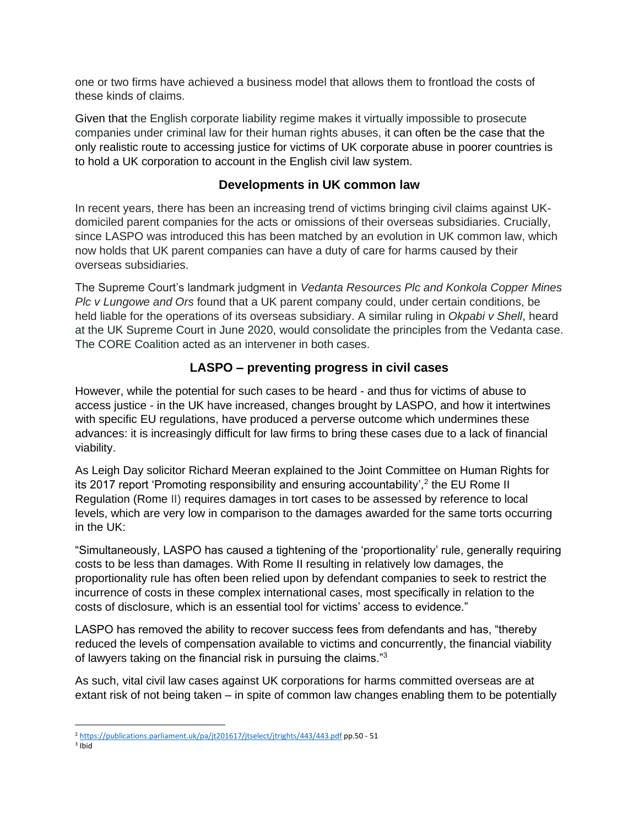one or two firms have achieved a business model that allows them to frontload the costs of these kinds of claims.

Given that the English corporate liability regime makes it virtually impossible to prosecute companies under criminal law for their human rights abuses, it can often be the case that the only realistic route to accessing justice for victims of UK corporate abuse in poorer countries is to hold a UK corporation to account in the English civil law system.

#### **Developments in UK common law**

In recent years, there has been an increasing trend of victims bringing civil claims against UKdomiciled parent companies for the acts or omissions of their overseas subsidiaries. Crucially, since LASPO was introduced this has been matched by an evolution in UK common law, which now holds that UK parent companies can have a duty of care for harms caused by their overseas subsidiaries.

The Supreme Court's landmark judgment in *Vedanta Resources Plc and Konkola Copper Mines Plc v Lungowe and Ors* found that a UK parent company could, under certain conditions, be held liable for the operations of its overseas subsidiary. A similar ruling in *Okpabi v Shell*, heard at the UK Supreme Court in June 2020, would consolidate the principles from the Vedanta case. The CORE Coalition acted as an intervener in both cases.

## **LASPO – preventing progress in civil cases**

However, while the potential for such cases to be heard - and thus for victims of abuse to access justice - in the UK have increased, changes brought by LASPO, and how it intertwines with specific EU regulations, have produced a perverse outcome which undermines these advances: it is increasingly difficult for law firms to bring these cases due to a lack of financial viability.

As Leigh Day solicitor Richard Meeran explained to the Joint Committee on Human Rights for its 2017 report 'Promoting responsibility and ensuring accountability',<sup>2</sup> the EU Rome II Regulation (Rome II) requires damages in tort cases to be assessed by reference to local levels, which are very low in comparison to the damages awarded for the same torts occurring in the UK:

"Simultaneously, LASPO has caused a tightening of the 'proportionality' rule, generally requiring costs to be less than damages. With Rome II resulting in relatively low damages, the proportionality rule has often been relied upon by defendant companies to seek to restrict the incurrence of costs in these complex international cases, most specifically in relation to the costs of disclosure, which is an essential tool for victims' access to evidence."

LASPO has removed the ability to recover success fees from defendants and has, "thereby reduced the levels of compensation available to victims and concurrently, the financial viability of lawyers taking on the financial risk in pursuing the claims."<sup>3</sup>

As such, vital civil law cases against UK corporations for harms committed overseas are at extant risk of not being taken – in spite of common law changes enabling them to be potentially

<sup>2</sup> <https://publications.parliament.uk/pa/jt201617/jtselect/jtrights/443/443.pdf> pp.50 - 51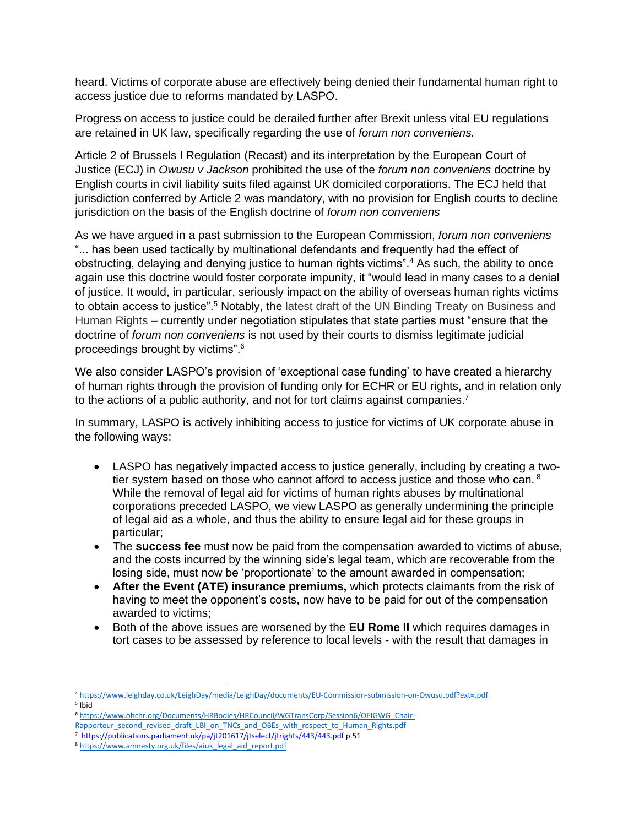heard. Victims of corporate abuse are effectively being denied their fundamental human right to access justice due to reforms mandated by LASPO.

Progress on access to justice could be derailed further after Brexit unless vital EU regulations are retained in UK law, specifically regarding the use of *forum non conveniens.* 

Article 2 of Brussels I Regulation (Recast) and its interpretation by the European Court of Justice (ECJ) in *Owusu v Jackson* prohibited the use of the *forum non conveniens* doctrine by English courts in civil liability suits filed against UK domiciled corporations. The ECJ held that jurisdiction conferred by Article 2 was mandatory, with no provision for English courts to decline jurisdiction on the basis of the English doctrine of *forum non conveniens*

As we have argued in a past submission to the European Commission, *forum non conveniens* "... has been used tactically by multinational defendants and frequently had the effect of obstructing, delaying and denying justice to human rights victims". <sup>4</sup> As such, the ability to once again use this doctrine would foster corporate impunity, it "would lead in many cases to a denial of justice. It would, in particular, seriously impact on the ability of overseas human rights victims to obtain access to justice".<sup>5</sup> Notably, the latest draft of the UN Binding Treaty on Business and Human Rights – currently under negotiation stipulates that state parties must "ensure that the doctrine of *forum non conveniens* is not used by their courts to dismiss legitimate judicial proceedings brought by victims".<sup>6</sup>

We also consider LASPO's provision of 'exceptional case funding' to have created a hierarchy of human rights through the provision of funding only for ECHR or EU rights, and in relation only to the actions of a public authority, and not for tort claims against companies.<sup>7</sup>

In summary, LASPO is actively inhibiting access to justice for victims of UK corporate abuse in the following ways:

- LASPO has negatively impacted access to justice generally, including by creating a twotier system based on those who cannot afford to access justice and those who can.  $8$ While the removal of legal aid for victims of human rights abuses by multinational corporations preceded LASPO, we view LASPO as generally undermining the principle of legal aid as a whole, and thus the ability to ensure legal aid for these groups in particular;
- The **success fee** must now be paid from the compensation awarded to victims of abuse, and the costs incurred by the winning side's legal team, which are recoverable from the losing side, must now be 'proportionate' to the amount awarded in compensation;
- **After the Event (ATE) insurance premiums,** which protects claimants from the risk of having to meet the opponent's costs, now have to be paid for out of the compensation awarded to victims;
- Both of the above issues are worsened by the **EU Rome II** which requires damages in tort cases to be assessed by reference to local levels - with the result that damages in

5 Ibid

<sup>4</sup> <https://www.leighday.co.uk/LeighDay/media/LeighDay/documents/EU-Commission-submission-on-Owusu.pdf?ext=.pdf>

<sup>6</sup> [https://www.ohchr.org/Documents/HRBodies/HRCouncil/WGTransCorp/Session6/OEIGWG\\_Chair-](https://www.ohchr.org/Documents/HRBodies/HRCouncil/WGTransCorp/Session6/OEIGWG_Chair-Rapporteur_second_revised_draft_LBI_on_TNCs_and_OBEs_with_respect_to_Human_Rights.pdf)

[Rapporteur\\_second\\_revised\\_draft\\_LBI\\_on\\_TNCs\\_and\\_OBEs\\_with\\_respect\\_to\\_Human\\_Rights.pdf](https://www.ohchr.org/Documents/HRBodies/HRCouncil/WGTransCorp/Session6/OEIGWG_Chair-Rapporteur_second_revised_draft_LBI_on_TNCs_and_OBEs_with_respect_to_Human_Rights.pdf)

<sup>7</sup> <https://publications.parliament.uk/pa/jt201617/jtselect/jtrights/443/443.pdf> p.51

<sup>8</sup> [https://www.amnesty.org.uk/files/aiuk\\_legal\\_aid\\_report.pdf](https://www.amnesty.org.uk/files/aiuk_legal_aid_report.pdf)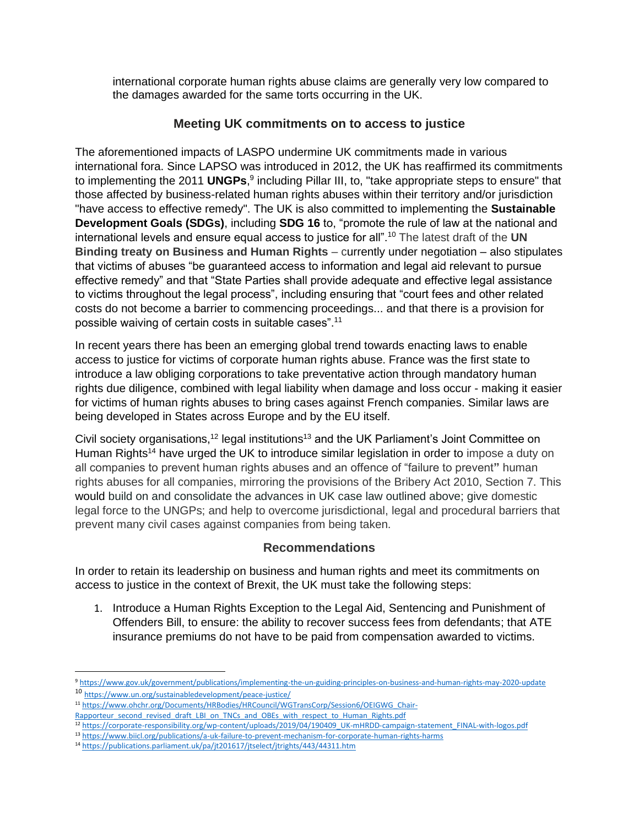international corporate human rights abuse claims are generally very low compared to the damages awarded for the same torts occurring in the UK.

## **Meeting UK commitments on to access to justice**

The aforementioned impacts of LASPO undermine UK commitments made in various international fora. Since LAPSO was introduced in 2012, the UK has reaffirmed its commitments to implementing the 2011 **UNGPs**,<sup>9</sup> including Pillar III, to, "take appropriate steps to ensure" that those affected by business-related human rights abuses within their territory and/or jurisdiction "have access to effective remedy". The UK is also committed to implementing the **Sustainable Development Goals (SDGs)**, including **SDG 16** to, "promote the rule of law at the national and international levels and ensure equal access to justice for all".<sup>10</sup> The latest draft of the **UN Binding treaty on Business and Human Rights** – currently under negotiation – also stipulates that victims of abuses "be guaranteed access to information and legal aid relevant to pursue effective remedy" and that "State Parties shall provide adequate and effective legal assistance to victims throughout the legal process", including ensuring that "court fees and other related costs do not become a barrier to commencing proceedings... and that there is a provision for possible waiving of certain costs in suitable cases".<sup>11</sup>

In recent years there has been an emerging global trend towards enacting laws to enable access to justice for victims of corporate human rights abuse. France was the first state to introduce a law obliging corporations to take preventative action through mandatory human rights due diligence, combined with legal liability when damage and loss occur - making it easier for victims of human rights abuses to bring cases against French companies. Similar laws are being developed in States across Europe and by the EU itself.

Civil society organisations,<sup>12</sup> legal institutions<sup>13</sup> and the UK Parliament's Joint Committee on Human Rights<sup>14</sup> have urged the UK to introduce similar legislation in order to impose a duty on all companies to prevent human rights abuses and an offence of "failure to prevent**"** human rights abuses for all companies, mirroring the provisions of the Bribery Act 2010, Section 7. This would build on and consolidate the advances in UK case law outlined above; give domestic legal force to the UNGPs; and help to overcome jurisdictional, legal and procedural barriers that prevent many civil cases against companies from being taken.

#### **Recommendations**

In order to retain its leadership on business and human rights and meet its commitments on access to justice in the context of Brexit, the UK must take the following steps:

1. Introduce a Human Rights Exception to the Legal Aid, Sentencing and Punishment of Offenders Bill, to ensure: the ability to recover success fees from defendants; that ATE insurance premiums do not have to be paid from compensation awarded to victims.

<sup>9</sup> <https://www.gov.uk/government/publications/implementing-the-un-guiding-principles-on-business-and-human-rights-may-2020-update> <sup>10</sup> <https://www.un.org/sustainabledevelopment/peace-justice/>

<sup>11</sup> [https://www.ohchr.org/Documents/HRBodies/HRCouncil/WGTransCorp/Session6/OEIGWG\\_Chair-](https://www.ohchr.org/Documents/HRBodies/HRCouncil/WGTransCorp/Session6/OEIGWG_Chair-Rapporteur_second_revised_draft_LBI_on_TNCs_and_OBEs_with_respect_to_Human_Rights.pdf)[Rapporteur\\_second\\_revised\\_draft\\_LBI\\_on\\_TNCs\\_and\\_OBEs\\_with\\_respect\\_to\\_Human\\_Rights.pdf](https://www.ohchr.org/Documents/HRBodies/HRCouncil/WGTransCorp/Session6/OEIGWG_Chair-Rapporteur_second_revised_draft_LBI_on_TNCs_and_OBEs_with_respect_to_Human_Rights.pdf)

<sup>12</sup> [https://corporate-responsibility.org/wp-content/uploads/2019/04/190409\\_UK-mHRDD-campaign-statement\\_FINAL-with-logos.pdf](https://corporate-responsibility.org/wp-content/uploads/2019/04/190409_UK-mHRDD-campaign-statement_FINAL-with-logos.pdf)

<sup>13</sup> <https://www.biicl.org/publications/a-uk-failure-to-prevent-mechanism-for-corporate-human-rights-harms>

<sup>14</sup> <https://publications.parliament.uk/pa/jt201617/jtselect/jtrights/443/44311.htm>